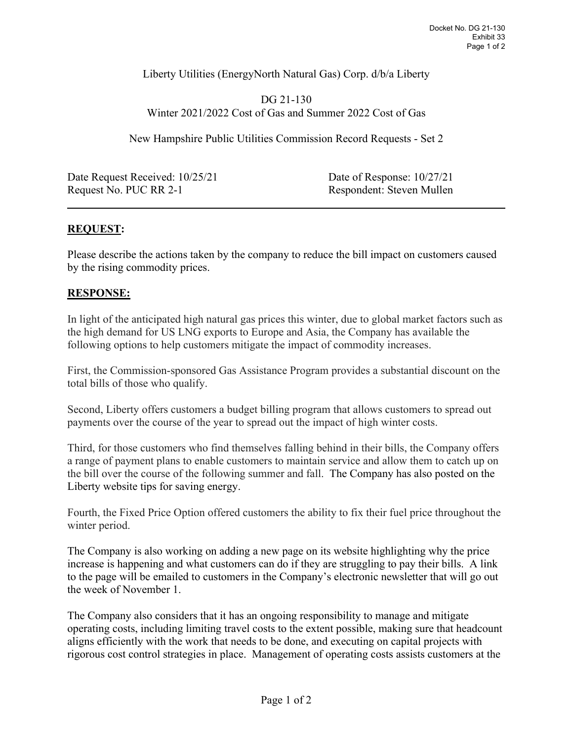Liberty Utilities (EnergyNorth Natural Gas) Corp. d/b/a Liberty

DG 21-130 Winter 2021/2022 Cost of Gas and Summer 2022 Cost of Gas

New Hampshire Public Utilities Commission Record Requests - Set 2

Date Request Received: 10/25/21 Date of Response: 10/27/21 Request No. PUC RR 2-1 Respondent: Steven Mullen

## **REQUEST:**

 $\overline{a}$ 

Please describe the actions taken by the company to reduce the bill impact on customers caused by the rising commodity prices.

## **RESPONSE:**

In light of the anticipated high natural gas prices this winter, due to global market factors such as the high demand for US LNG exports to Europe and Asia, the Company has available the following options to help customers mitigate the impact of commodity increases.

First, the Commission-sponsored Gas Assistance Program provides a substantial discount on the total bills of those who qualify.

Second, Liberty offers customers a budget billing program that allows customers to spread out payments over the course of the year to spread out the impact of high winter costs.

Third, for those customers who find themselves falling behind in their bills, the Company offers a range of payment plans to enable customers to maintain service and allow them to catch up on the bill over the course of the following summer and fall. The Company has also posted on the Liberty website tips for saving energy.

Fourth, the Fixed Price Option offered customers the ability to fix their fuel price throughout the winter period.

The Company is also working on adding a new page on its website highlighting why the price increase is happening and what customers can do if they are struggling to pay their bills. A link to the page will be emailed to customers in the Company's electronic newsletter that will go out the week of November 1.

The Company also considers that it has an ongoing responsibility to manage and mitigate operating costs, including limiting travel costs to the extent possible, making sure that headcount aligns efficiently with the work that needs to be done, and executing on capital projects with rigorous cost control strategies in place. Management of operating costs assists customers at the